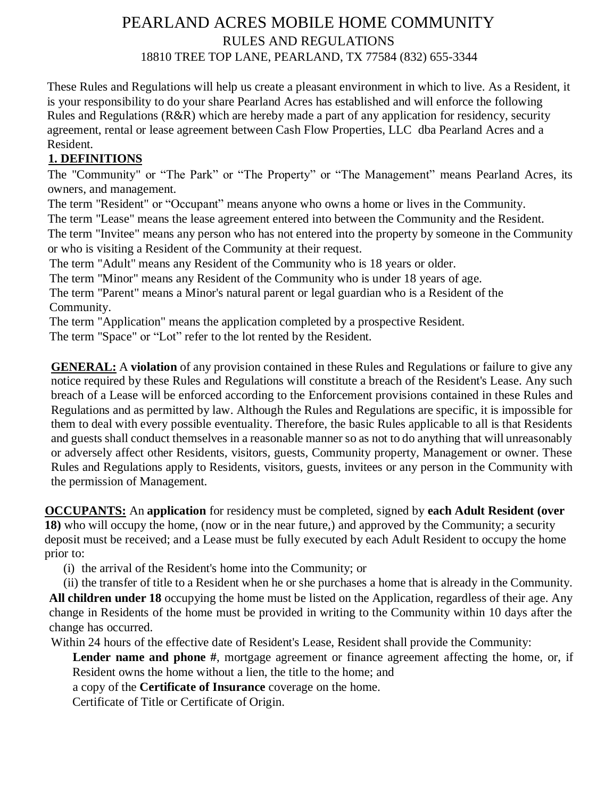## PEARLAND ACRES MOBILE HOME COMMUNITY RULES AND REGULATIONS 18810 TREE TOP LANE, PEARLAND, TX 77584 (832) 655-3344

These Rules and Regulations will help us create a pleasant environment in which to live. As a Resident, it is your responsibility to do your share Pearland Acres has established and will enforce the following Rules and Regulations (R&R) which are hereby made a part of any application for residency, security agreement, rental or lease agreement between Cash Flow Properties, LLC dba Pearland Acres and a Resident.

## **1. DEFINITIONS**

The "Community" or "The Park" or "The Property" or "The Management" means Pearland Acres, its owners, and management.

The term "Resident" or "Occupant" means anyone who owns a home or lives in the Community.

The term "Lease" means the lease agreement entered into between the Community and the Resident.

The term "Invitee" means any person who has not entered into the property by someone in the Community or who is visiting a Resident of the Community at their request.

The term "Adult" means any Resident of the Community who is 18 years or older.

The term "Minor" means any Resident of the Community who is under 18 years of age.

The term "Parent" means a Minor's natural parent or legal guardian who is a Resident of the Community.

The term "Application" means the application completed by a prospective Resident.

The term "Space" or "Lot" refer to the lot rented by the Resident.

**GENERAL:** A **violation** of any provision contained in these Rules and Regulations or failure to give any notice required by these Rules and Regulations will constitute a breach of the Resident's Lease. Any such breach of a Lease will be enforced according to the Enforcement provisions contained in these Rules and Regulations and as permitted by law. Although the Rules and Regulations are specific, it is impossible for them to deal with every possible eventuality. Therefore, the basic Rules applicable to all is that Residents and guests shall conduct themselves in a reasonable manner so as not to do anything that will unreasonably or adversely affect other Residents, visitors, guests, Community property, Management or owner. These Rules and Regulations apply to Residents, visitors, guests, invitees or any person in the Community with the permission of Management.

**OCCUPANTS:** An **application** for residency must be completed, signed by **each Adult Resident (over 18)** who will occupy the home, (now or in the near future,) and approved by the Community; a security deposit must be received; and a Lease must be fully executed by each Adult Resident to occupy the home prior to:

(i) the arrival of the Resident's home into the Community; or

(ii) the transfer of title to a Resident when he or she purchases a home that is already in the Community. **All children under 18** occupying the home must be listed on the Application, regardless of their age. Any change in Residents of the home must be provided in writing to the Community within 10 days after the change has occurred.

Within 24 hours of the effective date of Resident's Lease, Resident shall provide the Community:

Lender name and phone #, mortgage agreement or finance agreement affecting the home, or, if Resident owns the home without a lien, the title to the home; and

a copy of the **Certificate of Insurance** coverage on the home.

Certificate of Title or Certificate of Origin.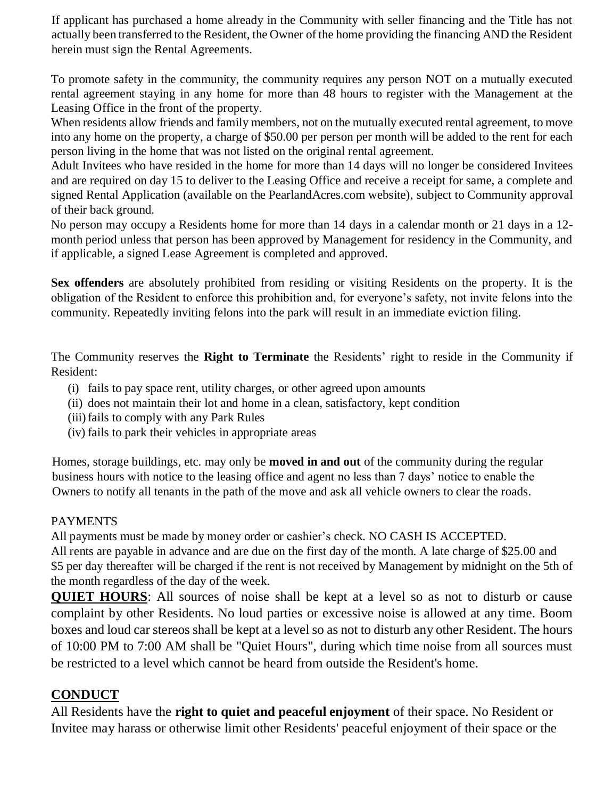If applicant has purchased a home already in the Community with seller financing and the Title has not actually been transferred to the Resident, the Owner of the home providing the financing AND the Resident herein must sign the Rental Agreements.

To promote safety in the community, the community requires any person NOT on a mutually executed rental agreement staying in any home for more than 48 hours to register with the Management at the Leasing Office in the front of the property.

When residents allow friends and family members, not on the mutually executed rental agreement, to move into any home on the property, a charge of \$50.00 per person per month will be added to the rent for each person living in the home that was not listed on the original rental agreement.

Adult Invitees who have resided in the home for more than 14 days will no longer be considered Invitees and are required on day 15 to deliver to the Leasing Office and receive a receipt for same, a complete and signed Rental Application (available on the PearlandAcres.com website), subject to Community approval of their back ground.

No person may occupy a Residents home for more than 14 days in a calendar month or 21 days in a 12 month period unless that person has been approved by Management for residency in the Community, and if applicable, a signed Lease Agreement is completed and approved.

**Sex offenders** are absolutely prohibited from residing or visiting Residents on the property. It is the obligation of the Resident to enforce this prohibition and, for everyone's safety, not invite felons into the community. Repeatedly inviting felons into the park will result in an immediate eviction filing.

The Community reserves the **Right to Terminate** the Residents' right to reside in the Community if Resident:

- (i) fails to pay space rent, utility charges, or other agreed upon amounts
- (ii) does not maintain their lot and home in a clean, satisfactory, kept condition
- (iii) fails to comply with any Park Rules
- (iv) fails to park their vehicles in appropriate areas

Homes, storage buildings, etc. may only be **moved in and out** of the community during the regular business hours with notice to the leasing office and agent no less than 7 days' notice to enable the Owners to notify all tenants in the path of the move and ask all vehicle owners to clear the roads.

#### PAYMENTS

All payments must be made by money order or cashier's check. NO CASH IS ACCEPTED. All rents are payable in advance and are due on the first day of the month. A late charge of \$25.00 and \$5 per day thereafter will be charged if the rent is not received by Management by midnight on the 5th of the month regardless of the day of the week.

**QUIET HOURS**: All sources of noise shall be kept at a level so as not to disturb or cause complaint by other Residents. No loud parties or excessive noise is allowed at any time. Boom boxes and loud car stereos shall be kept at a level so as not to disturb any other Resident. The hours of 10:00 PM to 7:00 AM shall be "Quiet Hours", during which time noise from all sources must be restricted to a level which cannot be heard from outside the Resident's home.

## **CONDUCT**

All Residents have the **right to quiet and peaceful enjoyment** of their space. No Resident or Invitee may harass or otherwise limit other Residents' peaceful enjoyment of their space or the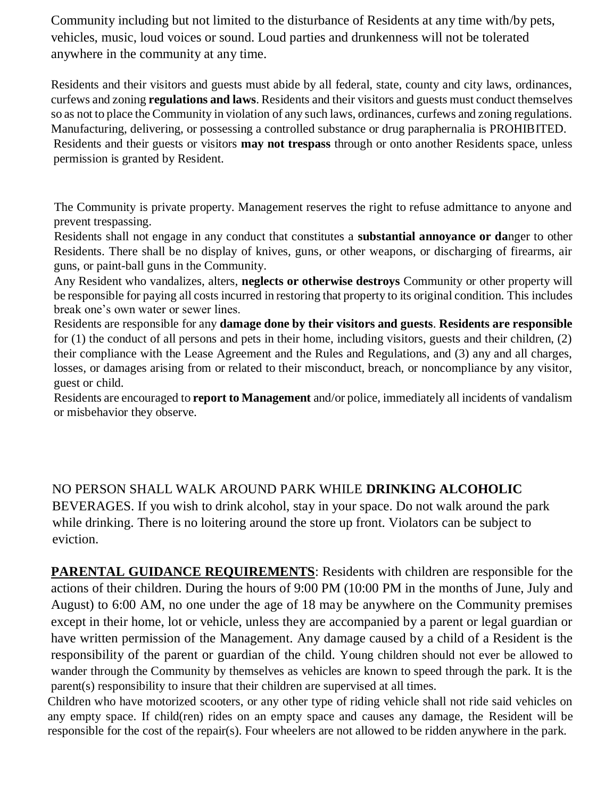Community including but not limited to the disturbance of Residents at any time with/by pets, vehicles, music, loud voices or sound. Loud parties and drunkenness will not be tolerated anywhere in the community at any time.

Residents and their visitors and guests must abide by all federal, state, county and city laws, ordinances, curfews and zoning **regulations and laws**. Residents and their visitors and guests must conduct themselves so as not to place the Community in violation of any such laws, ordinances, curfews and zoning regulations. Manufacturing, delivering, or possessing a controlled substance or drug paraphernalia is PROHIBITED. Residents and their guests or visitors **may not trespass** through or onto another Residents space, unless permission is granted by Resident.

The Community is private property. Management reserves the right to refuse admittance to anyone and prevent trespassing.

Residents shall not engage in any conduct that constitutes a **substantial annoyance or da**nger to other Residents. There shall be no display of knives, guns, or other weapons, or discharging of firearms, air guns, or paint-ball guns in the Community.

Any Resident who vandalizes, alters, **neglects or otherwise destroys** Community or other property will be responsible for paying all costs incurred in restoring that property to its original condition. This includes break one's own water or sewer lines.

Residents are responsible for any **damage done by their visitors and guests**. **Residents are responsible** for (1) the conduct of all persons and pets in their home, including visitors, guests and their children, (2) their compliance with the Lease Agreement and the Rules and Regulations, and (3) any and all charges, losses, or damages arising from or related to their misconduct, breach, or noncompliance by any visitor, guest or child.

Residents are encouraged to **report to Management** and/or police, immediately all incidents of vandalism or misbehavior they observe.

NO PERSON SHALL WALK AROUND PARK WHILE **DRINKING ALCOHOLIC** BEVERAGES. If you wish to drink alcohol, stay in your space. Do not walk around the park while drinking. There is no loitering around the store up front. Violators can be subject to eviction.

**PARENTAL GUIDANCE REQUIREMENTS**: Residents with children are responsible for the actions of their children. During the hours of 9:00 PM (10:00 PM in the months of June, July and August) to 6:00 AM, no one under the age of 18 may be anywhere on the Community premises except in their home, lot or vehicle, unless they are accompanied by a parent or legal guardian or have written permission of the Management. Any damage caused by a child of a Resident is the responsibility of the parent or guardian of the child. Young children should not ever be allowed to wander through the Community by themselves as vehicles are known to speed through the park. It is the parent(s) responsibility to insure that their children are supervised at all times.

Children who have motorized scooters, or any other type of riding vehicle shall not ride said vehicles on any empty space. If child(ren) rides on an empty space and causes any damage, the Resident will be responsible for the cost of the repair(s). Four wheelers are not allowed to be ridden anywhere in the park.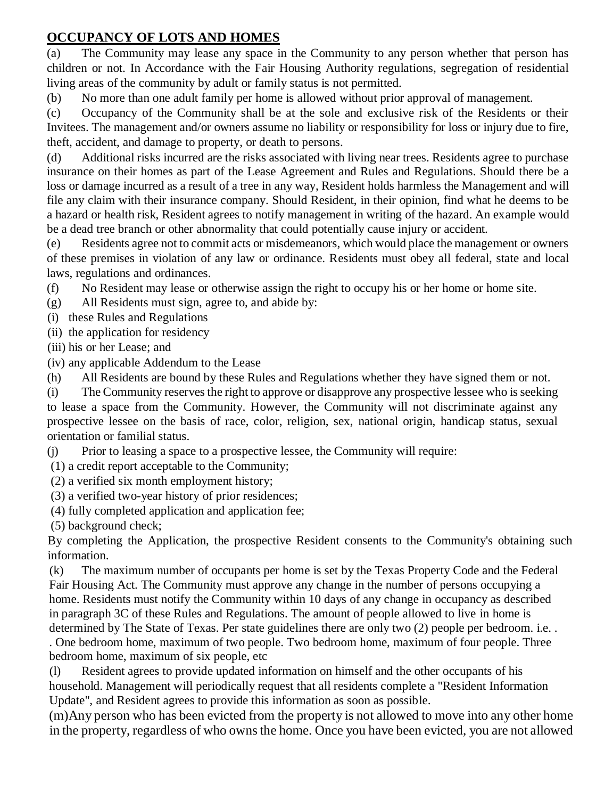## **OCCUPANCY OF LOTS AND HOMES**

(a) The Community may lease any space in the Community to any person whether that person has children or not. In Accordance with the Fair Housing Authority regulations, segregation of residential living areas of the community by adult or family status is not permitted.

(b) No more than one adult family per home is allowed without prior approval of management.

(c) Occupancy of the Community shall be at the sole and exclusive risk of the Residents or their Invitees. The management and/or owners assume no liability or responsibility for loss or injury due to fire, theft, accident, and damage to property, or death to persons.

(d) Additional risks incurred are the risks associated with living near trees. Residents agree to purchase insurance on their homes as part of the Lease Agreement and Rules and Regulations. Should there be a loss or damage incurred as a result of a tree in any way, Resident holds harmless the Management and will file any claim with their insurance company. Should Resident, in their opinion, find what he deems to be a hazard or health risk, Resident agrees to notify management in writing of the hazard. An example would be a dead tree branch or other abnormality that could potentially cause injury or accident.

(e) Residents agree not to commit acts or misdemeanors, which would place the management or owners of these premises in violation of any law or ordinance. Residents must obey all federal, state and local laws, regulations and ordinances.

(f) No Resident may lease or otherwise assign the right to occupy his or her home or home site.

(g) All Residents must sign, agree to, and abide by:

- (i) these Rules and Regulations
- (ii) the application for residency
- (iii) his or her Lease; and
- (iv) any applicable Addendum to the Lease
- (h) All Residents are bound by these Rules and Regulations whether they have signed them or not.

(i) The Community reserves the right to approve or disapprove any prospective lessee who is seeking to lease a space from the Community. However, the Community will not discriminate against any prospective lessee on the basis of race, color, religion, sex, national origin, handicap status, sexual orientation or familial status.

(j) Prior to leasing a space to a prospective lessee, the Community will require:

(1) a credit report acceptable to the Community;

- (2) a verified six month employment history;
- (3) a verified two-year history of prior residences;
- (4) fully completed application and application fee;

(5) background check;

By completing the Application, the prospective Resident consents to the Community's obtaining such information.

(k) The maximum number of occupants per home is set by the Texas Property Code and the Federal Fair Housing Act. The Community must approve any change in the number of persons occupying a home. Residents must notify the Community within 10 days of any change in occupancy as described in paragraph 3C of these Rules and Regulations. The amount of people allowed to live in home is determined by The State of Texas. Per state guidelines there are only two (2) people per bedroom. i.e. .

. One bedroom home, maximum of two people. Two bedroom home, maximum of four people. Three bedroom home, maximum of six people, etc

(l) Resident agrees to provide updated information on himself and the other occupants of his household. Management will periodically request that all residents complete a "Resident Information Update", and Resident agrees to provide this information as soon as possible.

(m)Any person who has been evicted from the property is not allowed to move into any other home in the property, regardless of who owns the home. Once you have been evicted, you are not allowed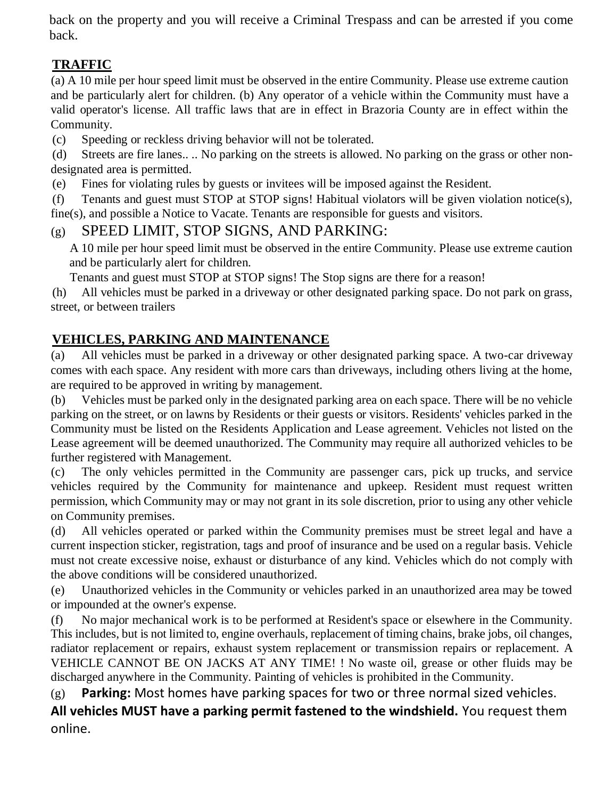back on the property and you will receive a Criminal Trespass and can be arrested if you come back.

# **TRAFFIC**

(a) A 10 mile per hour speed limit must be observed in the entire Community. Please use extreme caution and be particularly alert for children. (b) Any operator of a vehicle within the Community must have a valid operator's license. All traffic laws that are in effect in Brazoria County are in effect within the Community.

(c) Speeding or reckless driving behavior will not be tolerated.

(d) Streets are fire lanes.. .. No parking on the streets is allowed. No parking on the grass or other nondesignated area is permitted.

(e) Fines for violating rules by guests or invitees will be imposed against the Resident.

(f) Tenants and guest must STOP at STOP signs! Habitual violators will be given violation notice(s), fine(s), and possible a Notice to Vacate. Tenants are responsible for guests and visitors.

## (g) SPEED LIMIT, STOP SIGNS, AND PARKING:

A 10 mile per hour speed limit must be observed in the entire Community. Please use extreme caution and be particularly alert for children.

Tenants and guest must STOP at STOP signs! The Stop signs are there for a reason!

(h) All vehicles must be parked in a driveway or other designated parking space. Do not park on grass, street, or between trailers

## **VEHICLES, PARKING AND MAINTENANCE**

(a) All vehicles must be parked in a driveway or other designated parking space. A two-car driveway comes with each space. Any resident with more cars than driveways, including others living at the home, are required to be approved in writing by management.

(b) Vehicles must be parked only in the designated parking area on each space. There will be no vehicle parking on the street, or on lawns by Residents or their guests or visitors. Residents' vehicles parked in the Community must be listed on the Residents Application and Lease agreement. Vehicles not listed on the Lease agreement will be deemed unauthorized. The Community may require all authorized vehicles to be further registered with Management.

(c) The only vehicles permitted in the Community are passenger cars, pick up trucks, and service vehicles required by the Community for maintenance and upkeep. Resident must request written permission, which Community may or may not grant in its sole discretion, prior to using any other vehicle on Community premises.

(d) All vehicles operated or parked within the Community premises must be street legal and have a current inspection sticker, registration, tags and proof of insurance and be used on a regular basis. Vehicle must not create excessive noise, exhaust or disturbance of any kind. Vehicles which do not comply with the above conditions will be considered unauthorized.

(e) Unauthorized vehicles in the Community or vehicles parked in an unauthorized area may be towed or impounded at the owner's expense.

(f) No major mechanical work is to be performed at Resident's space or elsewhere in the Community. This includes, but is not limited to, engine overhauls, replacement of timing chains, brake jobs, oil changes, radiator replacement or repairs, exhaust system replacement or transmission repairs or replacement. A VEHICLE CANNOT BE ON JACKS AT ANY TIME! ! No waste oil, grease or other fluids may be discharged anywhere in the Community. Painting of vehicles is prohibited in the Community.

(g) **Parking:** Most homes have parking spaces for two or three normal sized vehicles.

**All vehicles MUST have a parking permit fastened to the windshield.** You request them online.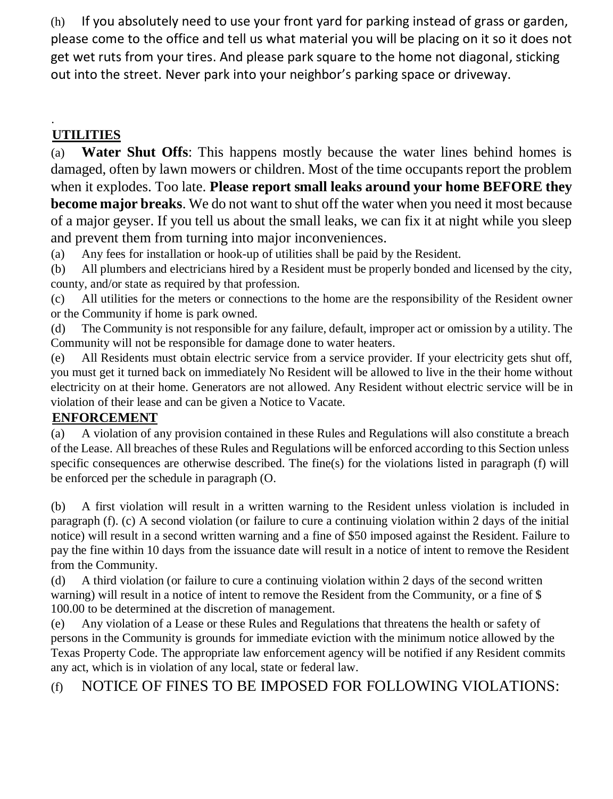(h) If you absolutely need to use your front yard for parking instead of grass or garden, please come to the office and tell us what material you will be placing on it so it does not get wet ruts from your tires. And please park square to the home not diagonal, sticking out into the street. Never park into your neighbor's parking space or driveway.

#### . **UTILITIES**

(a) **Water Shut Offs**: This happens mostly because the water lines behind homes is damaged, often by lawn mowers or children. Most of the time occupants report the problem when it explodes. Too late. **Please report small leaks around your home BEFORE they become major breaks**. We do not want to shut off the water when you need it most because of a major geyser. If you tell us about the small leaks, we can fix it at night while you sleep and prevent them from turning into major inconveniences.

(a) Any fees for installation or hook-up of utilities shall be paid by the Resident.

(b) All plumbers and electricians hired by a Resident must be properly bonded and licensed by the city, county, and/or state as required by that profession.

(c) All utilities for the meters or connections to the home are the responsibility of the Resident owner or the Community if home is park owned.

(d) The Community is not responsible for any failure, default, improper act or omission by a utility. The Community will not be responsible for damage done to water heaters.

(e) All Residents must obtain electric service from a service provider. If your electricity gets shut off, you must get it turned back on immediately No Resident will be allowed to live in the their home without electricity on at their home. Generators are not allowed. Any Resident without electric service will be in violation of their lease and can be given a Notice to Vacate.

## **ENFORCEMENT**

(a) A violation of any provision contained in these Rules and Regulations will also constitute a breach of the Lease. All breaches of these Rules and Regulations will be enforced according to this Section unless specific consequences are otherwise described. The fine(s) for the violations listed in paragraph (f) will be enforced per the schedule in paragraph (O.

(b) A first violation will result in a written warning to the Resident unless violation is included in paragraph (f). (c) A second violation (or failure to cure a continuing violation within 2 days of the initial notice) will result in a second written warning and a fine of \$50 imposed against the Resident. Failure to pay the fine within 10 days from the issuance date will result in a notice of intent to remove the Resident from the Community.

(d) A third violation (or failure to cure a continuing violation within 2 days of the second written warning) will result in a notice of intent to remove the Resident from the Community, or a fine of \$ 100.00 to be determined at the discretion of management.

(e) Any violation of a Lease or these Rules and Regulations that threatens the health or safety of persons in the Community is grounds for immediate eviction with the minimum notice allowed by the Texas Property Code. The appropriate law enforcement agency will be notified if any Resident commits any act, which is in violation of any local, state or federal law.

(f) NOTICE OF FINES TO BE IMPOSED FOR FOLLOWING VIOLATIONS: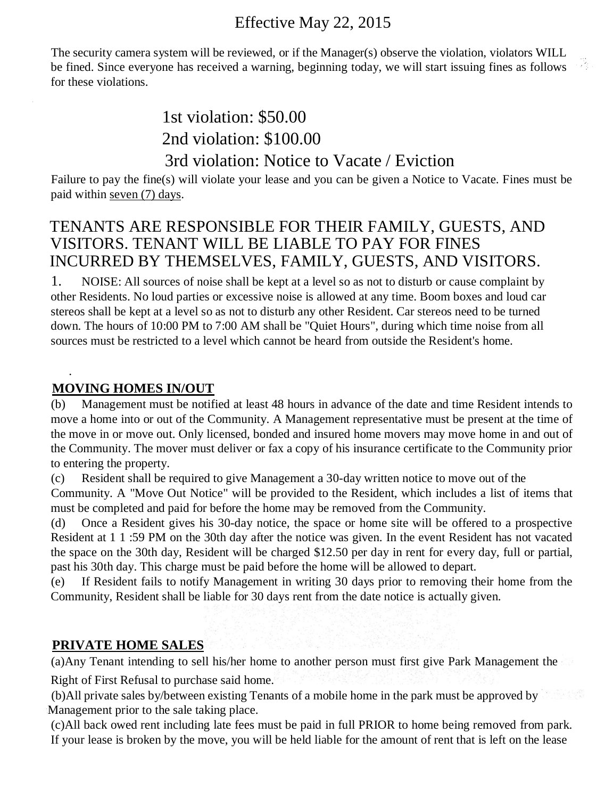# Effective May 22, 2015

The security camera system will be reviewed, or if the Manager(s) observe the violation, violators WILL be fined. Since everyone has received a warning, beginning today, we will start issuing fines as follows for these violations.

# 1st violation: \$50.00 2nd violation: \$100.00 3rd violation: Notice to Vacate / Eviction

Failure to pay the fine(s) will violate your lease and you can be given a Notice to Vacate. Fines must be paid within seven (7) days.

## TENANTS ARE RESPONSIBLE FOR THEIR FAMILY, GUESTS, AND VISITORS. TENANT WILL BE LIABLE TO PAY FOR FINES INCURRED BY THEMSELVES, FAMILY, GUESTS, AND VISITORS.

1. NOISE: All sources of noise shall be kept at a level so as not to disturb or cause complaint by other Residents. No loud parties or excessive noise is allowed at any time. Boom boxes and loud car stereos shall be kept at a level so as not to disturb any other Resident. Car stereos need to be turned down. The hours of 10:00 PM to 7:00 AM shall be "Quiet Hours", during which time noise from all sources must be restricted to a level which cannot be heard from outside the Resident's home.

## **MOVING HOMES IN/OUT**

.

(b) Management must be notified at least 48 hours in advance of the date and time Resident intends to move a home into or out of the Community. A Management representative must be present at the time of the move in or move out. Only licensed, bonded and insured home movers may move home in and out of the Community. The mover must deliver or fax a copy of his insurance certificate to the Community prior to entering the property.

(c) Resident shall be required to give Management a 30-day written notice to move out of the

Community. A "Move Out Notice" will be provided to the Resident, which includes a list of items that must be completed and paid for before the home may be removed from the Community.

(d) Once a Resident gives his 30-day notice, the space or home site will be offered to a prospective Resident at 1 1 :59 PM on the 30th day after the notice was given. In the event Resident has not vacated the space on the 30th day, Resident will be charged \$12.50 per day in rent for every day, full or partial, past his 30th day. This charge must be paid before the home will be allowed to depart.

(e) If Resident fails to notify Management in writing 30 days prior to removing their home from the Community, Resident shall be liable for 30 days rent from the date notice is actually given.

## **PRIVATE HOME SALES**

(a)Any Tenant intending to sell his/her home to another person must first give Park Management the

Right of First Refusal to purchase said home.

(b)All private sales by/between existing Tenants of a mobile home in the park must be approved by Management prior to the sale taking place.

(c)All back owed rent including late fees must be paid in full PRIOR to home being removed from park. If your lease is broken by the move, you will be held liable for the amount of rent that is left on the lease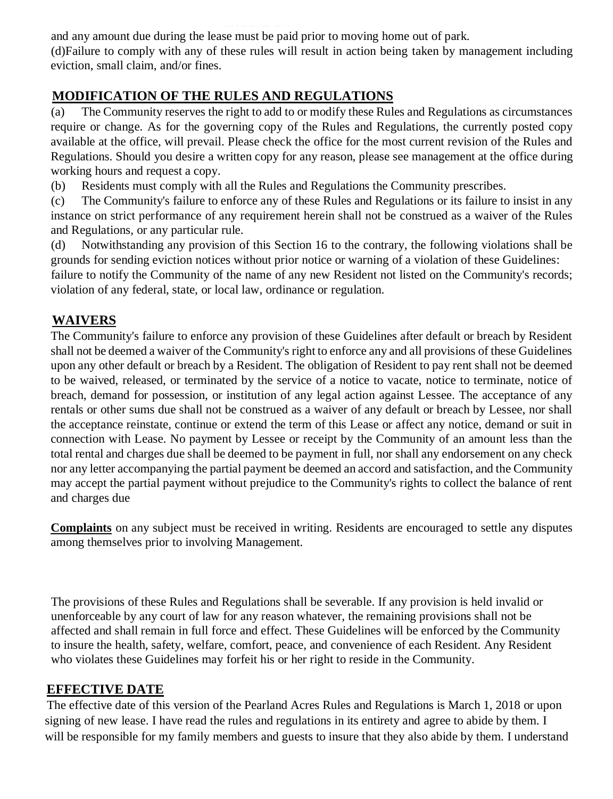and any amount due during the lease must be paid prior to moving home out of park.

(d)Failure to comply with any of these rules will result in action being taken by management including eviction, small claim, and/or fines.

## **MODIFICATION OF THE RULES AND REGULATIONS**

(a) The Community reserves the right to add to or modify these Rules and Regulations as circumstances require or change. As for the governing copy of the Rules and Regulations, the currently posted copy available at the office, will prevail. Please check the office for the most current revision of the Rules and Regulations. Should you desire a written copy for any reason, please see management at the office during working hours and request a copy.

(b) Residents must comply with all the Rules and Regulations the Community prescribes.

(c) The Community's failure to enforce any of these Rules and Regulations or its failure to insist in any instance on strict performance of any requirement herein shall not be construed as a waiver of the Rules and Regulations, or any particular rule.

(d) Notwithstanding any provision of this Section 16 to the contrary, the following violations shall be grounds for sending eviction notices without prior notice or warning of a violation of these Guidelines:

failure to notify the Community of the name of any new Resident not listed on the Community's records; violation of any federal, state, or local law, ordinance or regulation.

## **WAIVERS**

The Community's failure to enforce any provision of these Guidelines after default or breach by Resident shall not be deemed a waiver of the Community's right to enforce any and all provisions of these Guidelines upon any other default or breach by a Resident. The obligation of Resident to pay rent shall not be deemed to be waived, released, or terminated by the service of a notice to vacate, notice to terminate, notice of breach, demand for possession, or institution of any legal action against Lessee. The acceptance of any rentals or other sums due shall not be construed as a waiver of any default or breach by Lessee, nor shall the acceptance reinstate, continue or extend the term of this Lease or affect any notice, demand or suit in connection with Lease. No payment by Lessee or receipt by the Community of an amount less than the total rental and charges due shall be deemed to be payment in full, nor shall any endorsement on any check nor any letter accompanying the partial payment be deemed an accord and satisfaction, and the Community may accept the partial payment without prejudice to the Community's rights to collect the balance of rent and charges due

**Complaints** on any subject must be received in writing. Residents are encouraged to settle any disputes among themselves prior to involving Management.

The provisions of these Rules and Regulations shall be severable. If any provision is held invalid or unenforceable by any court of law for any reason whatever, the remaining provisions shall not be affected and shall remain in full force and effect. These Guidelines will be enforced by the Community to insure the health, safety, welfare, comfort, peace, and convenience of each Resident. Any Resident who violates these Guidelines may forfeit his or her right to reside in the Community.

## **EFFECTIVE DATE**

The effective date of this version of the Pearland Acres Rules and Regulations is March 1, 2018 or upon signing of new lease. I have read the rules and regulations in its entirety and agree to abide by them. I will be responsible for my family members and guests to insure that they also abide by them. I understand